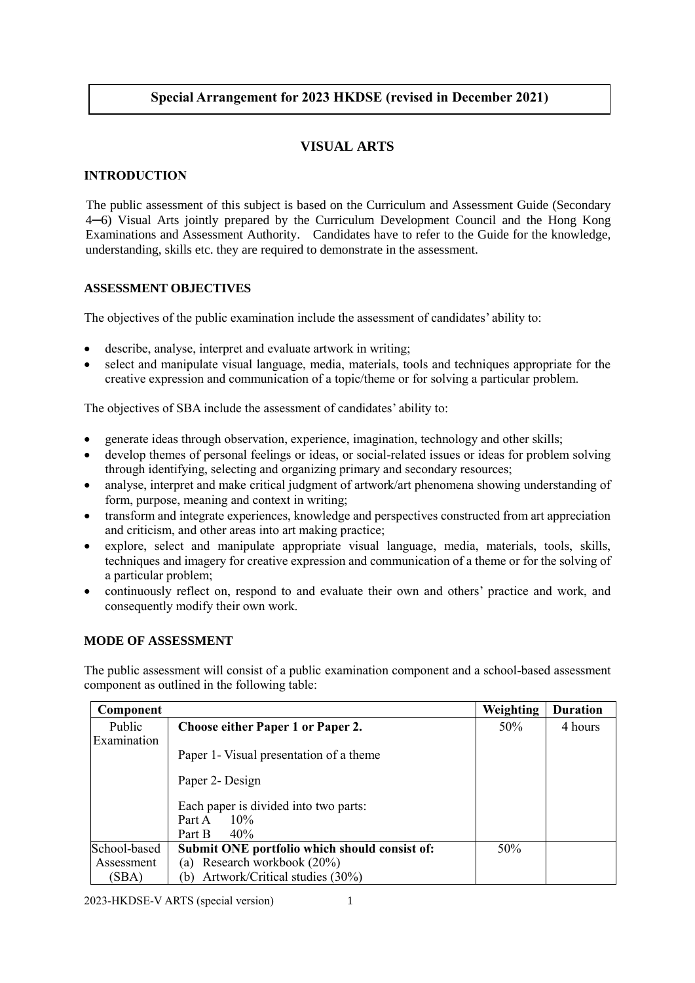# **Special Arrangement for 2023 HKDSE (revised in December 2021)**

# **VISUAL ARTS**

## **INTRODUCTION**

The public assessment of this subject is based on the Curriculum and Assessment Guide (Secondary 4─6) Visual Arts jointly prepared by the Curriculum Development Council and the Hong Kong Examinations and Assessment Authority. Candidates have to refer to the Guide for the knowledge, understanding, skills etc. they are required to demonstrate in the assessment.

## **ASSESSMENT OBJECTIVES**

The objectives of the public examination include the assessment of candidates' ability to:

- describe, analyse, interpret and evaluate artwork in writing;
- select and manipulate visual language, media, materials, tools and techniques appropriate for the creative expression and communication of a topic/theme or for solving a particular problem.

The objectives of SBA include the assessment of candidates' ability to:

- generate ideas through observation, experience, imagination, technology and other skills;
- develop themes of personal feelings or ideas, or social-related issues or ideas for problem solving through identifying, selecting and organizing primary and secondary resources;
- analyse, interpret and make critical judgment of artwork/art phenomena showing understanding of form, purpose, meaning and context in writing;
- transform and integrate experiences, knowledge and perspectives constructed from art appreciation and criticism, and other areas into art making practice;
- explore, select and manipulate appropriate visual language, media, materials, tools, skills, techniques and imagery for creative expression and communication of a theme or for the solving of a particular problem;
- continuously reflect on, respond to and evaluate their own and others' practice and work, and consequently modify their own work.

## **MODE OF ASSESSMENT**

The public assessment will consist of a public examination component and a school-based assessment component as outlined in the following table:

| Component             |                                               | Weighting | <b>Duration</b> |
|-----------------------|-----------------------------------------------|-----------|-----------------|
| Public<br>Examination | <b>Choose either Paper 1 or Paper 2.</b>      | 50%       | 4 hours         |
|                       | Paper 1- Visual presentation of a theme       |           |                 |
|                       | Paper 2- Design                               |           |                 |
|                       | Each paper is divided into two parts:         |           |                 |
|                       | $10\%$<br>Part A                              |           |                 |
|                       | 40%<br>Part B                                 |           |                 |
| School-based          | Submit ONE portfolio which should consist of: | 50%       |                 |
| Assessment            | Research workbook (20%)<br>(a)                |           |                 |
| (SBA)                 | Artwork/Critical studies (30%)<br>(b)         |           |                 |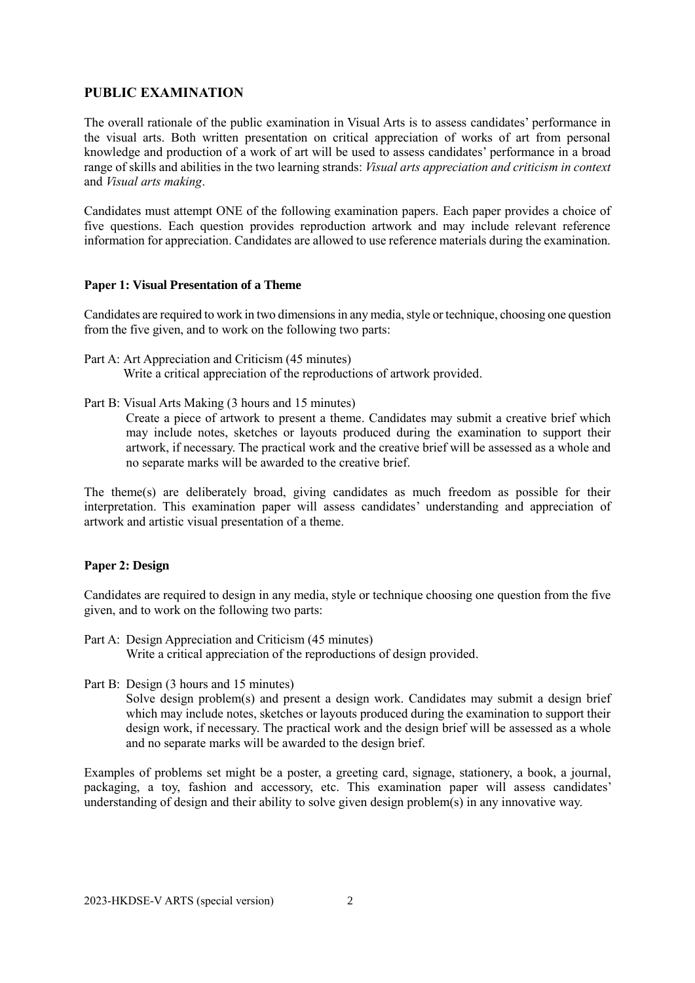## **PUBLIC EXAMINATION**

The overall rationale of the public examination in Visual Arts is to assess candidates' performance in the visual arts. Both written presentation on critical appreciation of works of art from personal knowledge and production of a work of art will be used to assess candidates' performance in a broad range of skills and abilities in the two learning strands: *Visual arts appreciation and criticism in context* and *Visual arts making*.

Candidates must attempt ONE of the following examination papers. Each paper provides a choice of five questions. Each question provides reproduction artwork and may include relevant reference information for appreciation. Candidates are allowed to use reference materials during the examination.

#### **Paper 1: Visual Presentation of a Theme**

Candidates are required to work in two dimensions in any media, style or technique, choosing one question from the five given, and to work on the following two parts:

- Part A: Art Appreciation and Criticism (45 minutes) Write a critical appreciation of the reproductions of artwork provided.
- Part B: Visual Arts Making (3 hours and 15 minutes)
	- Create a piece of artwork to present a theme. Candidates may submit a creative brief which may include notes, sketches or layouts produced during the examination to support their artwork, if necessary. The practical work and the creative brief will be assessed as a whole and no separate marks will be awarded to the creative brief.

The theme(s) are deliberately broad, giving candidates as much freedom as possible for their interpretation. This examination paper will assess candidates' understanding and appreciation of artwork and artistic visual presentation of a theme.

### **Paper 2: Design**

Candidates are required to design in any media, style or technique choosing one question from the five given, and to work on the following two parts:

- Part A: Design Appreciation and Criticism (45 minutes) Write a critical appreciation of the reproductions of design provided.
- Part B: Design (3 hours and 15 minutes)

Solve design problem(s) and present a design work. Candidates may submit a design brief which may include notes, sketches or layouts produced during the examination to support their design work, if necessary. The practical work and the design brief will be assessed as a whole and no separate marks will be awarded to the design brief.

Examples of problems set might be a poster, a greeting card, signage, stationery, a book, a journal, packaging, a toy, fashion and accessory, etc. This examination paper will assess candidates' understanding of design and their ability to solve given design problem(s) in any innovative way.